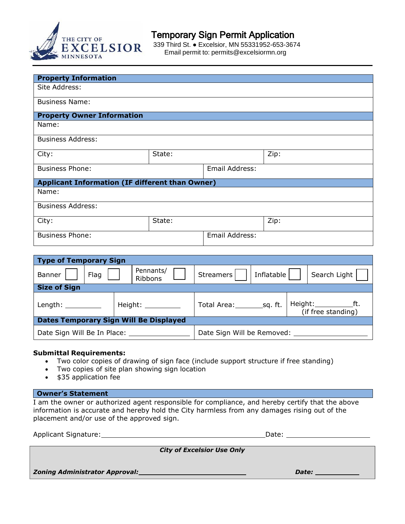

## Temporary Sign Permit Application

 $\overline{\text{EXCELSIOR}}$  339 Third St.  $\bullet$  Excelsior, MN 55331952-653-3674 Email permit to: permits@excelsiormn.org<br>MINNESOTA

| <b>Property Information</b>                            |        |                |      |  |  |  |  |
|--------------------------------------------------------|--------|----------------|------|--|--|--|--|
| Site Address:                                          |        |                |      |  |  |  |  |
|                                                        |        |                |      |  |  |  |  |
| <b>Business Name:</b>                                  |        |                |      |  |  |  |  |
|                                                        |        |                |      |  |  |  |  |
| <b>Property Owner Information</b>                      |        |                |      |  |  |  |  |
| Name:                                                  |        |                |      |  |  |  |  |
|                                                        |        |                |      |  |  |  |  |
| <b>Business Address:</b>                               |        |                |      |  |  |  |  |
| State:<br>City:                                        |        |                | Zip: |  |  |  |  |
|                                                        |        |                |      |  |  |  |  |
| <b>Business Phone:</b>                                 |        | Email Address: |      |  |  |  |  |
|                                                        |        |                |      |  |  |  |  |
| <b>Applicant Information (IF different than Owner)</b> |        |                |      |  |  |  |  |
| Name:                                                  |        |                |      |  |  |  |  |
|                                                        |        |                |      |  |  |  |  |
| <b>Business Address:</b>                               |        |                |      |  |  |  |  |
|                                                        |        |                |      |  |  |  |  |
| City:                                                  | State: |                | Zip: |  |  |  |  |
|                                                        |        |                |      |  |  |  |  |
| <b>Business Phone:</b>                                 |        | Email Address: |      |  |  |  |  |
|                                                        |        |                |      |  |  |  |  |

| <b>Type of Temporary Sign</b>                 |      |                      |           |            |  |                    |  |  |
|-----------------------------------------------|------|----------------------|-----------|------------|--|--------------------|--|--|
| <b>Banner</b>                                 | Flag | Pennants/<br>Ribbons | Streamers | Inflatable |  | Search Light       |  |  |
| <b>Size of Sign</b>                           |      |                      |           |            |  |                    |  |  |
| Length: $\_\_$                                |      | Height: $\_\_$       |           |            |  | (if free standing) |  |  |
| <b>Dates Temporary Sign Will Be Displayed</b> |      |                      |           |            |  |                    |  |  |
|                                               |      |                      |           |            |  |                    |  |  |

## **Submittal Requirements:**

- Two color copies of drawing of sign face (include support structure if free standing)
- Two copies of site plan showing sign location
- \$35 application fee

## **Owner's Statement**

I am the owner or authorized agent responsible for compliance, and hereby certify that the above information is accurate and hereby hold the City harmless from any damages rising out of the placement and/or use of the approved sign.

Applicant Signature: Date: Date: Date: Date: Date: Date: Date: Date: Date: Date: Date: Date: Date: Date: Date: Date: Date: Date: Date: Date: Date: Date: Date: Date: Date: Date: Date: Date: Date: Date: Date: Date: Date: Dat

*City of Excelsior Use Only*

*Zoning Administrator Approval: Date:*